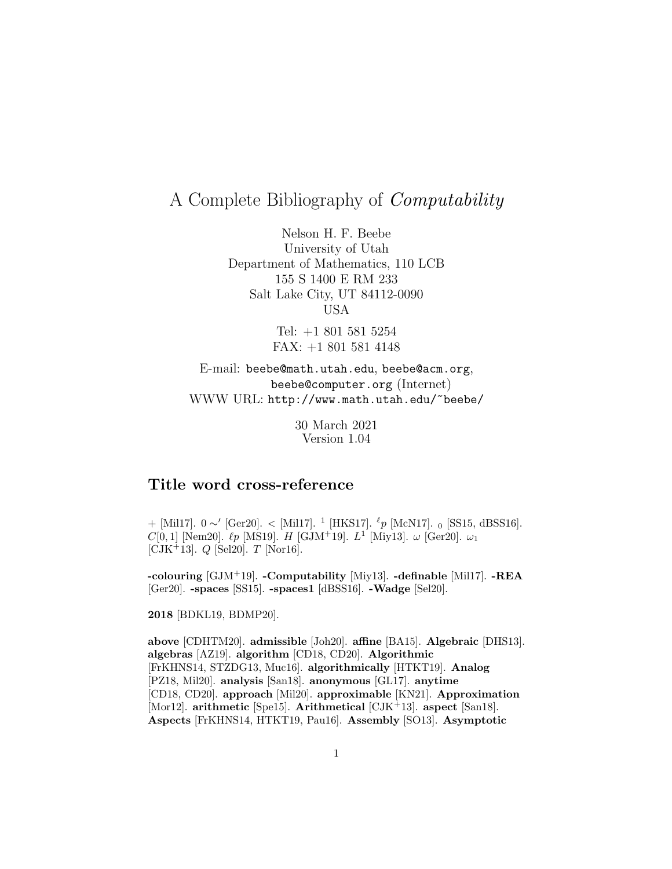# A Complete Bibliography of Computability

Nelson H. F. Beebe University of Utah Department of Mathematics, 110 LCB 155 S 1400 E RM 233 Salt Lake City, UT 84112-0090 USA

> Tel: +1 801 581 5254 FAX: +1 801 581 4148

E-mail: beebe@math.utah.edu, beebe@acm.org, beebe@computer.org (Internet) WWW URL: http://www.math.utah.edu/~beebe/

> 30 March 2021 Version 1.04

# **Title word cross-reference**

+ [Mil17].  $0 \sim'$  [Ger20]. < [Mil17]. <sup>1</sup> [HKS17]. <sup> $\ell$ </sup>p [McN17]. <sub>0</sub> [SS15, dBSS16]. C[0, 1] [Nem20].  $\ell p$  [MS19]. H [GJM+19].  $L^1$  [Miy13].  $\omega$  [Ger20].  $\omega_1$ [CJK<sup>+</sup>13].  $Q$  [Sel20].  $T$  [Nor16].

**-colouring** [GJM<sup>+</sup>19]. **-Computability** [Miy13]. **-definable** [Mil17]. **-REA** [Ger20]. **-spaces** [SS15]. **-spaces1** [dBSS16]. **-Wadge** [Sel20].

**2018** [BDKL19, BDMP20].

**above** [CDHTM20]. **admissible** [Joh20]. **affine** [BA15]. **Algebraic** [DHS13]. **algebras** [AZ19]. **algorithm** [CD18, CD20]. **Algorithmic** [FrKHNS14, STZDG13, Muc16]. **algorithmically** [HTKT19]. **Analog** [PZ18, Mil20]. **analysis** [San18]. **anonymous** [GL17]. **anytime** [CD18, CD20]. **approach** [Mil20]. **approximable** [KN21]. **Approximation** [Mor12]. **arithmetic** [Spe15]. **Arithmetical** [CJK<sup>+</sup>13]. **aspect** [San18]. **Aspects** [FrKHNS14, HTKT19, Pau16]. **Assembly** [SO13]. **Asymptotic**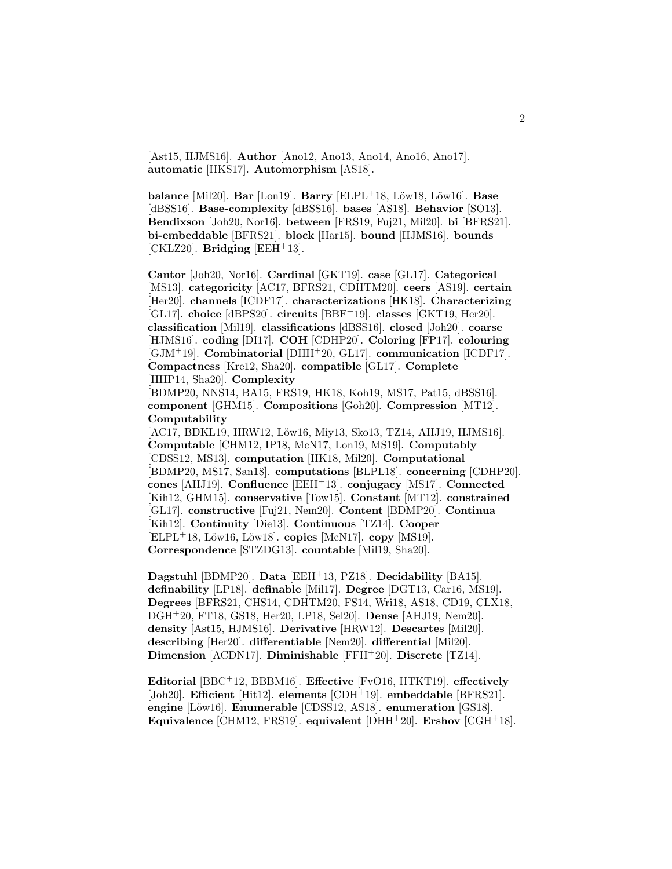[Ast15, HJMS16]. **Author** [Ano12, Ano13, Ano14, Ano16, Ano17]. **automatic** [HKS17]. **Automorphism** [AS18].

**balance** [Mil20]. **Bar** [Lon19]. **Barry** [ELPL+18, Löw18, Löw16]. **Base** [dBSS16]. **Base-complexity** [dBSS16]. **bases** [AS18]. **Behavior** [SO13]. **Bendixson** [Joh20, Nor16]. **between** [FRS19, Fuj21, Mil20]. **bi** [BFRS21]. **bi-embeddable** [BFRS21]. **block** [Har15]. **bound** [HJMS16]. **bounds** [CKLZ20]. **Bridging** [EEH<sup>+</sup>13].

**Cantor** [Joh20, Nor16]. **Cardinal** [GKT19]. **case** [GL17]. **Categorical** [MS13]. **categoricity** [AC17, BFRS21, CDHTM20]. **ceers** [AS19]. **certain** [Her20]. **channels** [ICDF17]. **characterizations** [HK18]. **Characterizing** [GL17]. **choice** [dBPS20]. **circuits** [BBF<sup>+</sup>19]. **classes** [GKT19, Her20]. **classification** [Mil19]. **classifications** [dBSS16]. **closed** [Joh20]. **coarse** [HJMS16]. **coding** [DI17]. **COH** [CDHP20]. **Coloring** [FP17]. **colouring** [GJM<sup>+</sup>19]. **Combinatorial** [DHH<sup>+</sup>20, GL17]. **communication** [ICDF17]. **Compactness** [Kre12, Sha20]. **compatible** [GL17]. **Complete** [HHP14, Sha20]. **Complexity**

[BDMP20, NNS14, BA15, FRS19, HK18, Koh19, MS17, Pat15, dBSS16]. **component** [GHM15]. **Compositions** [Goh20]. **Compression** [MT12]. **Computability**

[AC17, BDKL19, HRW12, Löw16, Miy13, Sko13, TZ14, AHJ19, HJMS16]. **Computable** [CHM12, IP18, McN17, Lon19, MS19]. **Computably** [CDSS12, MS13]. **computation** [HK18, Mil20]. **Computational** [BDMP20, MS17, San18]. **computations** [BLPL18]. **concerning** [CDHP20]. **cones** [AHJ19]. **Confluence** [EEH<sup>+</sup>13]. **conjugacy** [MS17]. **Connected** [Kih12, GHM15]. **conservative** [Tow15]. **Constant** [MT12]. **constrained** [GL17]. **constructive** [Fuj21, Nem20]. **Content** [BDMP20]. **Continua** [Kih12]. **Continuity** [Die13]. **Continuous** [TZ14]. **Cooper** [ELPL<sup>+</sup>18, L¨ow16, L¨ow18]. **copies** [McN17]. **copy** [MS19]. **Correspondence** [STZDG13]. **countable** [Mil19, Sha20].

**Dagstuhl** [BDMP20]. **Data** [EEH<sup>+</sup>13, PZ18]. **Decidability** [BA15]. **definability** [LP18]. **definable** [Mil17]. **Degree** [DGT13, Car16, MS19]. **Degrees** [BFRS21, CHS14, CDHTM20, FS14, Wri18, AS18, CD19, CLX18, DGH<sup>+</sup>20, FT18, GS18, Her20, LP18, Sel20]. **Dense** [AHJ19, Nem20]. **density** [Ast15, HJMS16]. **Derivative** [HRW12]. **Descartes** [Mil20]. **describing** [Her20]. **differentiable** [Nem20]. **differential** [Mil20]. **Dimension** [ACDN17]. **Diminishable** [FFH<sup>+</sup>20]. **Discrete** [TZ14].

**Editorial** [BBC<sup>+</sup>12, BBBM16]. **Effective** [FvO16, HTKT19]. **effectively** [Joh20]. **Efficient** [Hit12]. **elements** [CDH<sup>+</sup>19]. **embeddable** [BFRS21]. **engine** [Löw16]. **Enumerable** [CDSS12, AS18]. **enumeration** [GS18]. **Equivalence** [CHM12, FRS19]. **equivalent** [DHH<sup>+</sup>20]. **Ershov** [CGH<sup>+</sup>18].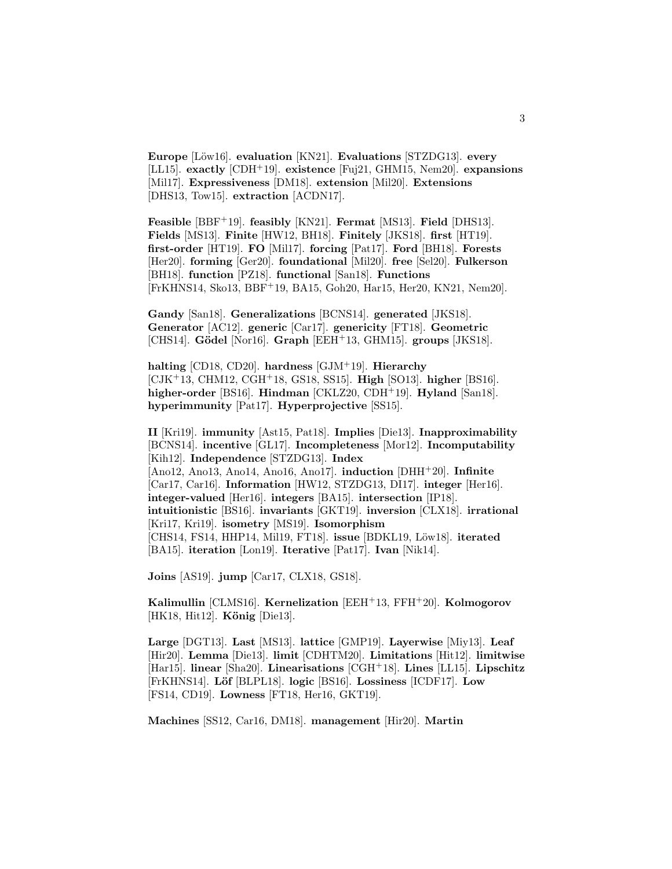**Europe** [Löw16]. **evaluation** [KN21]. **Evaluations** [STZDG13]. **every** [LL15]. **exactly** [CDH<sup>+</sup>19]. **existence** [Fuj21, GHM15, Nem20]. **expansions** [Mil17]. **Expressiveness** [DM18]. **extension** [Mil20]. **Extensions** [DHS13, Tow15]. **extraction** [ACDN17].

**Feasible** [BBF<sup>+</sup>19]. **feasibly** [KN21]. **Fermat** [MS13]. **Field** [DHS13]. **Fields** [MS13]. **Finite** [HW12, BH18]. **Finitely** [JKS18]. **first** [HT19]. **first-order** [HT19]. **FO** [Mil17]. **forcing** [Pat17]. **Ford** [BH18]. **Forests** [Her20]. **forming** [Ger20]. **foundational** [Mil20]. **free** [Sel20]. **Fulkerson** [BH18]. **function** [PZ18]. **functional** [San18]. **Functions** [FrKHNS14, Sko13, BBF<sup>+</sup>19, BA15, Goh20, Har15, Her20, KN21, Nem20].

**Gandy** [San18]. **Generalizations** [BCNS14]. **generated** [JKS18]. **Generator** [AC12]. **generic** [Car17]. **genericity** [FT18]. **Geometric** [CHS14]. **G¨odel** [Nor16]. **Graph** [EEH<sup>+</sup>13, GHM15]. **groups** [JKS18].

**halting** [CD18, CD20]. **hardness** [GJM<sup>+</sup>19]. **Hierarchy** [CJK<sup>+</sup>13, CHM12, CGH<sup>+</sup>18, GS18, SS15]. **High** [SO13]. **higher** [BS16]. **higher-order** [BS16]. **Hindman** [CKLZ20, CDH<sup>+</sup>19]. **Hyland** [San18]. **hyperimmunity** [Pat17]. **Hyperprojective** [SS15].

**II** [Kri19]. **immunity** [Ast15, Pat18]. **Implies** [Die13]. **Inapproximability** [BCNS14]. **incentive** [GL17]. **Incompleteness** [Mor12]. **Incomputability** [Kih12]. **Independence** [STZDG13]. **Index** [Ano12, Ano13, Ano14, Ano16, Ano17]. **induction** [DHH<sup>+</sup>20]. **Infinite** [Car17, Car16]. **Information** [HW12, STZDG13, DI17]. **integer** [Her16]. **integer-valued** [Her16]. **integers** [BA15]. **intersection** [IP18]. **intuitionistic** [BS16]. **invariants** [GKT19]. **inversion** [CLX18]. **irrational** [Kri17, Kri19]. **isometry** [MS19]. **Isomorphism** [CHS14, FS14, HHP14, Mil19, FT18]. **issue** [BDKL19, Löw18]. **iterated** [BA15]. **iteration** [Lon19]. **Iterative** [Pat17]. **Ivan** [Nik14].

**Joins** [AS19]. **jump** [Car17, CLX18, GS18].

**Kalimullin** [CLMS16]. **Kernelization** [EEH<sup>+</sup>13, FFH<sup>+</sup>20]. **Kolmogorov** [HK18, Hit12]. **König** [Die13].

**Large** [DGT13]. **Last** [MS13]. **lattice** [GMP19]. **Layerwise** [Miy13]. **Leaf** [Hir20]. **Lemma** [Die13]. **limit** [CDHTM20]. **Limitations** [Hit12]. **limitwise** [Har15]. **linear** [Sha20]. **Linearisations** [CGH<sup>+</sup>18]. **Lines** [LL15]. **Lipschitz** [FrKHNS14]. **L¨of** [BLPL18]. **logic** [BS16]. **Lossiness** [ICDF17]. **Low** [FS14, CD19]. **Lowness** [FT18, Her16, GKT19].

**Machines** [SS12, Car16, DM18]. **management** [Hir20]. **Martin**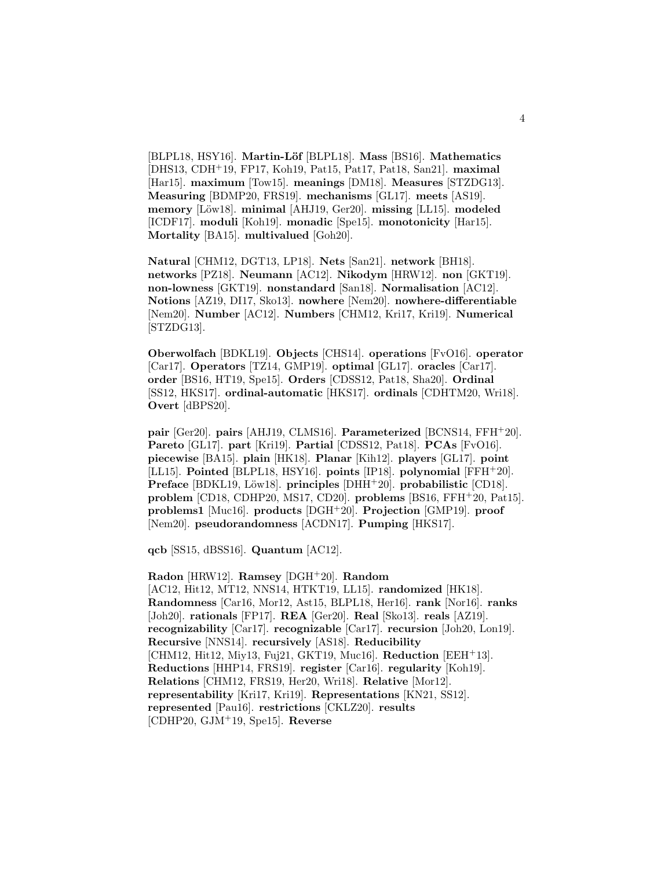[BLPL18, HSY16]. **Martin-L¨of** [BLPL18]. **Mass** [BS16]. **Mathematics** [DHS13, CDH<sup>+</sup>19, FP17, Koh19, Pat15, Pat17, Pat18, San21]. **maximal** [Har15]. **maximum** [Tow15]. **meanings** [DM18]. **Measures** [STZDG13]. **Measuring** [BDMP20, FRS19]. **mechanisms** [GL17]. **meets** [AS19]. **memory** [Löw18]. **minimal** [AHJ19, Ger20]. **missing** [LL15]. **modeled** [ICDF17]. **moduli** [Koh19]. **monadic** [Spe15]. **monotonicity** [Har15]. **Mortality** [BA15]. **multivalued** [Goh20].

**Natural** [CHM12, DGT13, LP18]. **Nets** [San21]. **network** [BH18]. **networks** [PZ18]. **Neumann** [AC12]. **Nikodym** [HRW12]. **non** [GKT19]. **non-lowness** [GKT19]. **nonstandard** [San18]. **Normalisation** [AC12]. **Notions** [AZ19, DI17, Sko13]. **nowhere** [Nem20]. **nowhere-differentiable** [Nem20]. **Number** [AC12]. **Numbers** [CHM12, Kri17, Kri19]. **Numerical** [STZDG13].

**Oberwolfach** [BDKL19]. **Objects** [CHS14]. **operations** [FvO16]. **operator** [Car17]. **Operators** [TZ14, GMP19]. **optimal** [GL17]. **oracles** [Car17]. **order** [BS16, HT19, Spe15]. **Orders** [CDSS12, Pat18, Sha20]. **Ordinal** [SS12, HKS17]. **ordinal-automatic** [HKS17]. **ordinals** [CDHTM20, Wri18]. **Overt** [dBPS20].

**pair** [Ger20]. **pairs** [AHJ19, CLMS16]. **Parameterized** [BCNS14, FFH<sup>+</sup>20]. **Pareto** [GL17]. **part** [Kri19]. **Partial** [CDSS12, Pat18]. **PCAs** [FvO16]. **piecewise** [BA15]. **plain** [HK18]. **Planar** [Kih12]. **players** [GL17]. **point** [LL15]. **Pointed** [BLPL18, HSY16]. **points** [IP18]. **polynomial** [FFH<sup>+</sup>20]. **Preface** [BDKL19, Löw18]. **principles** [DHH<sup>+</sup>20]. **probabilistic** [CD18]. **problem** [CD18, CDHP20, MS17, CD20]. **problems** [BS16, FFH<sup>+</sup>20, Pat15]. **problems1** [Muc16]. **products** [DGH<sup>+</sup>20]. **Projection** [GMP19]. **proof** [Nem20]. **pseudorandomness** [ACDN17]. **Pumping** [HKS17].

**qcb** [SS15, dBSS16]. **Quantum** [AC12].

**Radon** [HRW12]. **Ramsey** [DGH<sup>+</sup>20]. **Random** [AC12, Hit12, MT12, NNS14, HTKT19, LL15]. **randomized** [HK18]. **Randomness** [Car16, Mor12, Ast15, BLPL18, Her16]. **rank** [Nor16]. **ranks** [Joh20]. **rationals** [FP17]. **REA** [Ger20]. **Real** [Sko13]. **reals** [AZ19]. **recognizability** [Car17]. **recognizable** [Car17]. **recursion** [Joh20, Lon19]. **Recursive** [NNS14]. **recursively** [AS18]. **Reducibility** [CHM12, Hit12, Miy13, Fuj21, GKT19, Muc16]. **Reduction** [EEH<sup>+</sup>13]. **Reductions** [HHP14, FRS19]. **register** [Car16]. **regularity** [Koh19]. **Relations** [CHM12, FRS19, Her20, Wri18]. **Relative** [Mor12]. **representability** [Kri17, Kri19]. **Representations** [KN21, SS12]. **represented** [Pau16]. **restrictions** [CKLZ20]. **results** [CDHP20, GJM<sup>+</sup>19, Spe15]. **Reverse**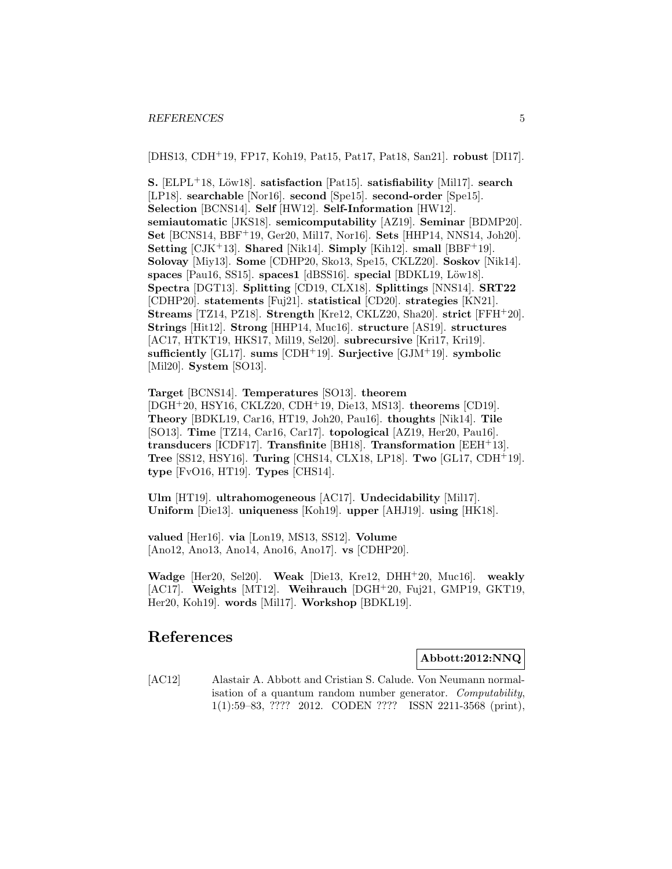[DHS13, CDH<sup>+</sup>19, FP17, Koh19, Pat15, Pat17, Pat18, San21]. **robust** [DI17].

**S.** [ELPL<sup>+18</sup>, Löw18]. **satisfaction** [Pat15]. **satisfiability** [Mil17]. **search** [LP18]. **searchable** [Nor16]. **second** [Spe15]. **second-order** [Spe15]. **Selection** [BCNS14]. **Self** [HW12]. **Self-Information** [HW12]. **semiautomatic** [JKS18]. **semicomputability** [AZ19]. **Seminar** [BDMP20]. **Set** [BCNS14, BBF<sup>+</sup>19, Ger20, Mil17, Nor16]. **Sets** [HHP14, NNS14, Joh20]. **Setting** [CJK<sup>+</sup>13]. **Shared** [Nik14]. **Simply** [Kih12]. **small** [BBF<sup>+</sup>19]. **Solovay** [Miy13]. **Some** [CDHP20, Sko13, Spe15, CKLZ20]. **Soskov** [Nik14]. **spaces** [Pau16, SS15]. **spaces1** [dBSS16]. **special** [BDKL19, Löw18]. **Spectra** [DGT13]. **Splitting** [CD19, CLX18]. **Splittings** [NNS14]. **SRT22** [CDHP20]. **statements** [Fuj21]. **statistical** [CD20]. **strategies** [KN21]. **Streams** [TZ14, PZ18]. **Strength** [Kre12, CKLZ20, Sha20]. **strict** [FFH<sup>+</sup>20]. **Strings** [Hit12]. **Strong** [HHP14, Muc16]. **structure** [AS19]. **structures** [AC17, HTKT19, HKS17, Mil19, Sel20]. **subrecursive** [Kri17, Kri19]. **sufficiently** [GL17]. **sums** [CDH<sup>+</sup>19]. **Surjective** [GJM<sup>+</sup>19]. **symbolic** [Mil20]. **System** [SO13].

**Target** [BCNS14]. **Temperatures** [SO13]. **theorem** [DGH<sup>+</sup>20, HSY16, CKLZ20, CDH<sup>+</sup>19, Die13, MS13]. **theorems** [CD19]. **Theory** [BDKL19, Car16, HT19, Joh20, Pau16]. **thoughts** [Nik14]. **Tile** [SO13]. **Time** [TZ14, Car16, Car17]. **topological** [AZ19, Her20, Pau16]. **transducers** [ICDF17]. **Transfinite** [BH18]. **Transformation** [EEH<sup>+</sup>13]. **Tree** [SS12, HSY16]. **Turing** [CHS14, CLX18, LP18]. **Two** [GL17, CDH<sup>+</sup>19]. **type** [FvO16, HT19]. **Types** [CHS14].

**Ulm** [HT19]. **ultrahomogeneous** [AC17]. **Undecidability** [Mil17]. **Uniform** [Die13]. **uniqueness** [Koh19]. **upper** [AHJ19]. **using** [HK18].

**valued** [Her16]. **via** [Lon19, MS13, SS12]. **Volume** [Ano12, Ano13, Ano14, Ano16, Ano17]. **vs** [CDHP20].

**Wadge** [Her20, Sel20]. **Weak** [Die13, Kre12, DHH<sup>+</sup>20, Muc16]. **weakly** [AC17]. **Weights** [MT12]. **Weihrauch** [DGH<sup>+</sup>20, Fuj21, GMP19, GKT19, Her20, Koh19]. **words** [Mil17]. **Workshop** [BDKL19].

# **References**

**Abbott:2012:NNQ**

[AC12] Alastair A. Abbott and Cristian S. Calude. Von Neumann normalisation of a quantum random number generator. Computability, 1(1):59–83, ???? 2012. CODEN ???? ISSN 2211-3568 (print),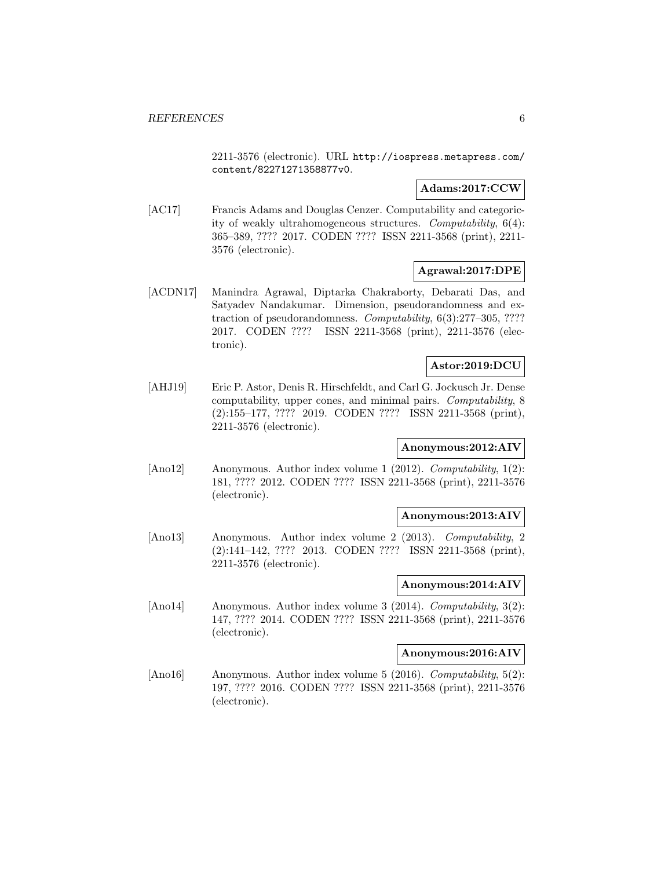2211-3576 (electronic). URL http://iospress.metapress.com/ content/82271271358877v0.

### **Adams:2017:CCW**

[AC17] Francis Adams and Douglas Cenzer. Computability and categoricity of weakly ultrahomogeneous structures. Computability, 6(4): 365–389, ???? 2017. CODEN ???? ISSN 2211-3568 (print), 2211- 3576 (electronic).

### **Agrawal:2017:DPE**

[ACDN17] Manindra Agrawal, Diptarka Chakraborty, Debarati Das, and Satyadev Nandakumar. Dimension, pseudorandomness and extraction of pseudorandomness. Computability, 6(3):277–305, ???? 2017. CODEN ???? ISSN 2211-3568 (print), 2211-3576 (electronic).

### **Astor:2019:DCU**

[AHJ19] Eric P. Astor, Denis R. Hirschfeldt, and Carl G. Jockusch Jr. Dense computability, upper cones, and minimal pairs. Computability, 8 (2):155–177, ???? 2019. CODEN ???? ISSN 2211-3568 (print), 2211-3576 (electronic).

### **Anonymous:2012:AIV**

[Ano12] Anonymous. Author index volume 1 (2012). Computability, 1(2): 181, ???? 2012. CODEN ???? ISSN 2211-3568 (print), 2211-3576 (electronic).

#### **Anonymous:2013:AIV**

[Ano13] Anonymous. Author index volume 2 (2013). Computability, 2 (2):141–142, ???? 2013. CODEN ???? ISSN 2211-3568 (print), 2211-3576 (electronic).

#### **Anonymous:2014:AIV**

[Ano14] Anonymous. Author index volume 3 (2014). Computability, 3(2): 147, ???? 2014. CODEN ???? ISSN 2211-3568 (print), 2211-3576 (electronic).

### **Anonymous:2016:AIV**

[Ano16] Anonymous. Author index volume 5 (2016). Computability, 5(2): 197, ???? 2016. CODEN ???? ISSN 2211-3568 (print), 2211-3576 (electronic).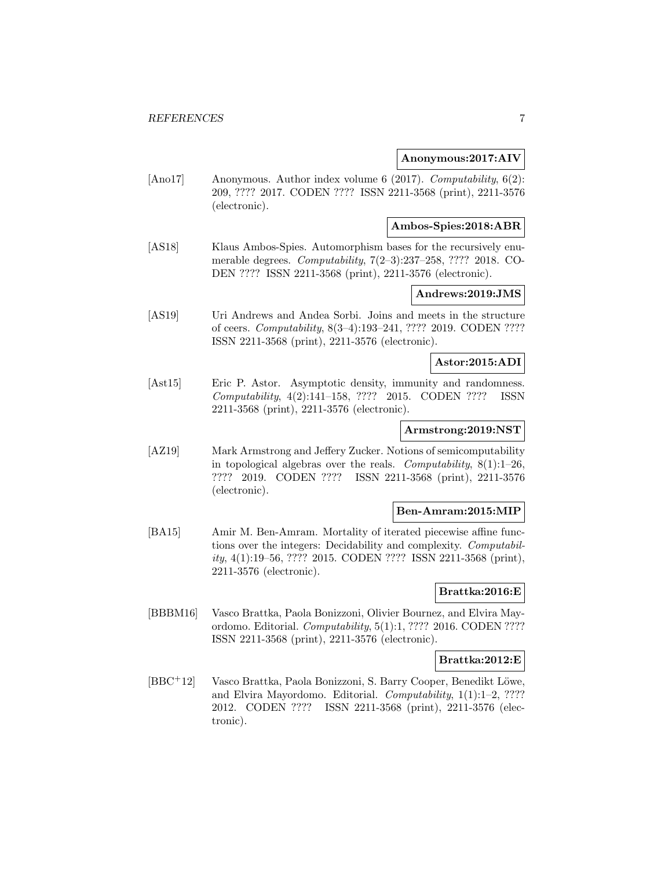#### **Anonymous:2017:AIV**

[Ano17] Anonymous. Author index volume 6 (2017). Computability, 6(2): 209, ???? 2017. CODEN ???? ISSN 2211-3568 (print), 2211-3576 (electronic).

#### **Ambos-Spies:2018:ABR**

[AS18] Klaus Ambos-Spies. Automorphism bases for the recursively enumerable degrees. Computability, 7(2–3):237–258, ???? 2018. CO-DEN ???? ISSN 2211-3568 (print), 2211-3576 (electronic).

### **Andrews:2019:JMS**

[AS19] Uri Andrews and Andea Sorbi. Joins and meets in the structure of ceers. Computability, 8(3–4):193–241, ???? 2019. CODEN ???? ISSN 2211-3568 (print), 2211-3576 (electronic).

### **Astor:2015:ADI**

[Ast15] Eric P. Astor. Asymptotic density, immunity and randomness. Computability, 4(2):141–158, ???? 2015. CODEN ???? ISSN 2211-3568 (print), 2211-3576 (electronic).

#### **Armstrong:2019:NST**

[AZ19] Mark Armstrong and Jeffery Zucker. Notions of semicomputability in topological algebras over the reals. Computability,  $8(1):1-26$ , ???? 2019. CODEN ???? ISSN 2211-3568 (print), 2211-3576 (electronic).

#### **Ben-Amram:2015:MIP**

[BA15] Amir M. Ben-Amram. Mortality of iterated piecewise affine functions over the integers: Decidability and complexity. Computabil $ity, 4(1):19–56, ???? 2015. CODEN ???? ISSN 2211-3568 (print),$ 2211-3576 (electronic).

### **Brattka:2016:E**

[BBBM16] Vasco Brattka, Paola Bonizzoni, Olivier Bournez, and Elvira Mayordomo. Editorial. Computability, 5(1):1, ???? 2016. CODEN ???? ISSN 2211-3568 (print), 2211-3576 (electronic).

#### **Brattka:2012:E**

[BBC<sup>+</sup>12] Vasco Brattka, Paola Bonizzoni, S. Barry Cooper, Benedikt Löwe, and Elvira Mayordomo. Editorial. Computability, 1(1):1–2, ???? 2012. CODEN ???? ISSN 2211-3568 (print), 2211-3576 (electronic).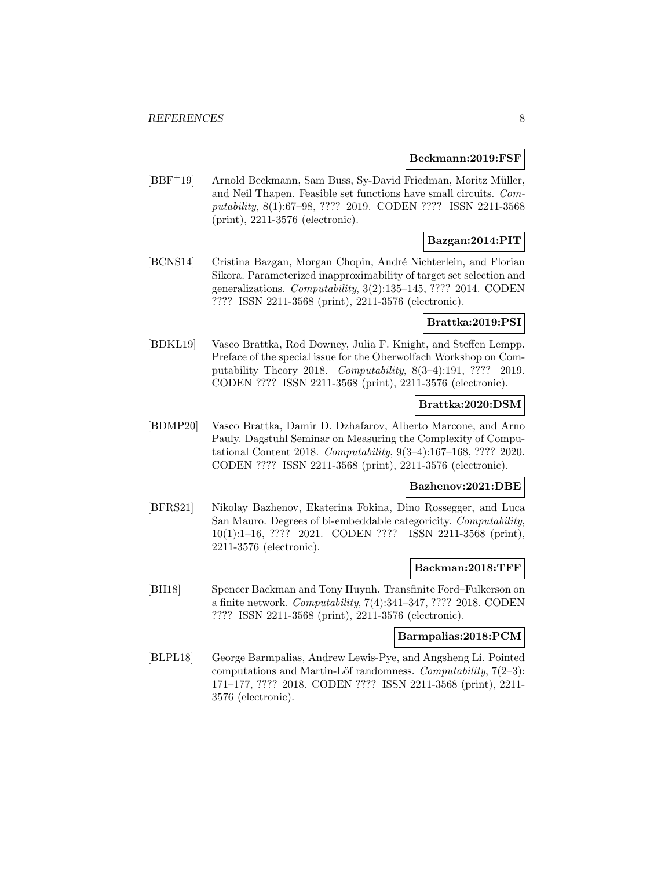#### **Beckmann:2019:FSF**

[BBF<sup>+</sup>19] Arnold Beckmann, Sam Buss, Sy-David Friedman, Moritz Müller, and Neil Thapen. Feasible set functions have small circuits. Computability, 8(1):67–98, ???? 2019. CODEN ???? ISSN 2211-3568 (print), 2211-3576 (electronic).

### **Bazgan:2014:PIT**

[BCNS14] Cristina Bazgan, Morgan Chopin, André Nichterlein, and Florian Sikora. Parameterized inapproximability of target set selection and generalizations. Computability, 3(2):135–145, ???? 2014. CODEN ???? ISSN 2211-3568 (print), 2211-3576 (electronic).

### **Brattka:2019:PSI**

[BDKL19] Vasco Brattka, Rod Downey, Julia F. Knight, and Steffen Lempp. Preface of the special issue for the Oberwolfach Workshop on Computability Theory 2018. Computability, 8(3–4):191, ???? 2019. CODEN ???? ISSN 2211-3568 (print), 2211-3576 (electronic).

#### **Brattka:2020:DSM**

[BDMP20] Vasco Brattka, Damir D. Dzhafarov, Alberto Marcone, and Arno Pauly. Dagstuhl Seminar on Measuring the Complexity of Computational Content 2018. Computability, 9(3–4):167–168, ???? 2020. CODEN ???? ISSN 2211-3568 (print), 2211-3576 (electronic).

#### **Bazhenov:2021:DBE**

[BFRS21] Nikolay Bazhenov, Ekaterina Fokina, Dino Rossegger, and Luca San Mauro. Degrees of bi-embeddable categoricity. Computability, 10(1):1–16, ???? 2021. CODEN ???? ISSN 2211-3568 (print), 2211-3576 (electronic).

#### **Backman:2018:TFF**

[BH18] Spencer Backman and Tony Huynh. Transfinite Ford–Fulkerson on a finite network. Computability, 7(4):341–347, ???? 2018. CODEN ???? ISSN 2211-3568 (print), 2211-3576 (electronic).

#### **Barmpalias:2018:PCM**

[BLPL18] George Barmpalias, Andrew Lewis-Pye, and Angsheng Li. Pointed computations and Martin-Löf randomness. Computability,  $7(2-3)$ : 171–177, ???? 2018. CODEN ???? ISSN 2211-3568 (print), 2211- 3576 (electronic).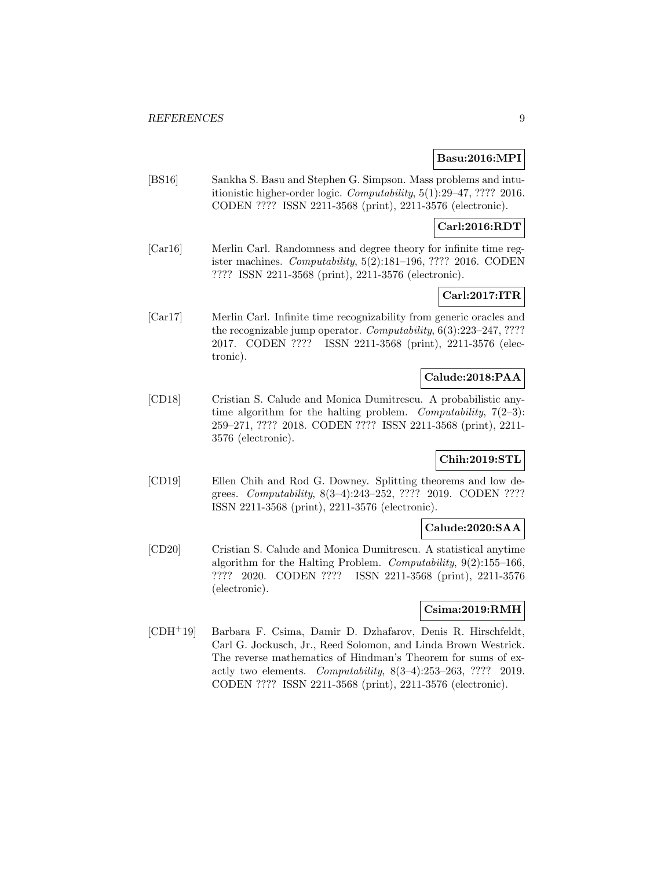#### **Basu:2016:MPI**

[BS16] Sankha S. Basu and Stephen G. Simpson. Mass problems and intuitionistic higher-order logic. Computability, 5(1):29–47, ???? 2016. CODEN ???? ISSN 2211-3568 (print), 2211-3576 (electronic).

### **Carl:2016:RDT**

[Car16] Merlin Carl. Randomness and degree theory for infinite time register machines. Computability, 5(2):181–196, ???? 2016. CODEN ???? ISSN 2211-3568 (print), 2211-3576 (electronic).

# **Carl:2017:ITR**

[Car17] Merlin Carl. Infinite time recognizability from generic oracles and the recognizable jump operator. Computability, 6(3):223–247, ???? 2017. CODEN ???? ISSN 2211-3568 (print), 2211-3576 (electronic).

### **Calude:2018:PAA**

[CD18] Cristian S. Calude and Monica Dumitrescu. A probabilistic anytime algorithm for the halting problem. Computability,  $7(2-3)$ : 259–271, ???? 2018. CODEN ???? ISSN 2211-3568 (print), 2211- 3576 (electronic).

### **Chih:2019:STL**

[CD19] Ellen Chih and Rod G. Downey. Splitting theorems and low degrees. Computability, 8(3–4):243–252, ???? 2019. CODEN ???? ISSN 2211-3568 (print), 2211-3576 (electronic).

#### **Calude:2020:SAA**

[CD20] Cristian S. Calude and Monica Dumitrescu. A statistical anytime algorithm for the Halting Problem. Computability,  $9(2)$ :155–166, ???? 2020. CODEN ???? ISSN 2211-3568 (print), 2211-3576 (electronic).

#### **Csima:2019:RMH**

[CDH<sup>+</sup>19] Barbara F. Csima, Damir D. Dzhafarov, Denis R. Hirschfeldt, Carl G. Jockusch, Jr., Reed Solomon, and Linda Brown Westrick. The reverse mathematics of Hindman's Theorem for sums of exactly two elements.  $Computability, 8(3-4):253-263, ???? 2019.$ CODEN ???? ISSN 2211-3568 (print), 2211-3576 (electronic).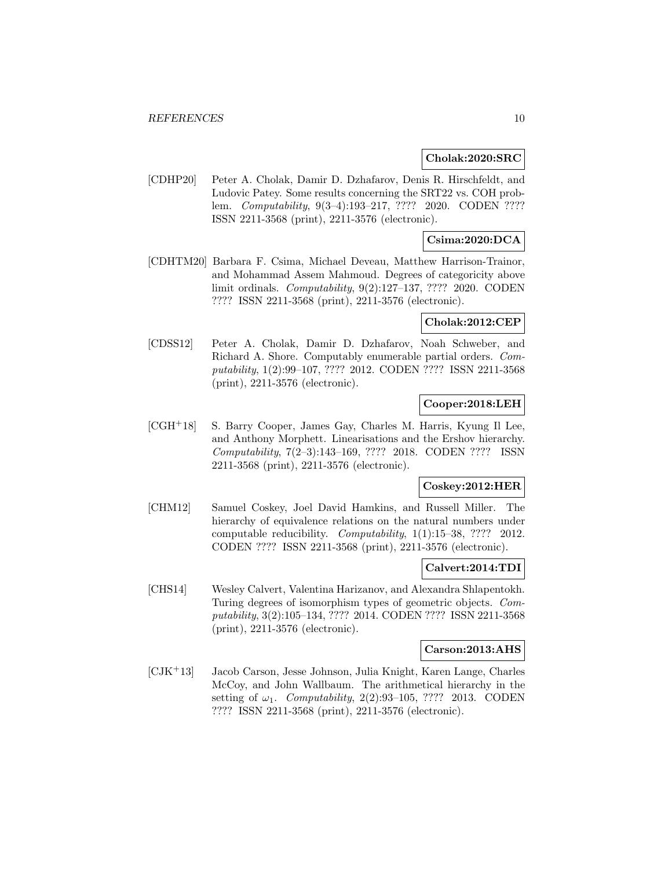#### **Cholak:2020:SRC**

[CDHP20] Peter A. Cholak, Damir D. Dzhafarov, Denis R. Hirschfeldt, and Ludovic Patey. Some results concerning the SRT22 vs. COH problem. Computability, 9(3–4):193–217, ???? 2020. CODEN ???? ISSN 2211-3568 (print), 2211-3576 (electronic).

### **Csima:2020:DCA**

[CDHTM20] Barbara F. Csima, Michael Deveau, Matthew Harrison-Trainor, and Mohammad Assem Mahmoud. Degrees of categoricity above limit ordinals. Computability, 9(2):127–137, ???? 2020. CODEN ???? ISSN 2211-3568 (print), 2211-3576 (electronic).

### **Cholak:2012:CEP**

[CDSS12] Peter A. Cholak, Damir D. Dzhafarov, Noah Schweber, and Richard A. Shore. Computably enumerable partial orders. Computability, 1(2):99–107, ???? 2012. CODEN ???? ISSN 2211-3568 (print), 2211-3576 (electronic).

#### **Cooper:2018:LEH**

[CGH<sup>+</sup>18] S. Barry Cooper, James Gay, Charles M. Harris, Kyung Il Lee, and Anthony Morphett. Linearisations and the Ershov hierarchy. Computability, 7(2–3):143–169, ???? 2018. CODEN ???? ISSN 2211-3568 (print), 2211-3576 (electronic).

#### **Coskey:2012:HER**

[CHM12] Samuel Coskey, Joel David Hamkins, and Russell Miller. The hierarchy of equivalence relations on the natural numbers under computable reducibility. Computability, 1(1):15–38, ???? 2012. CODEN ???? ISSN 2211-3568 (print), 2211-3576 (electronic).

#### **Calvert:2014:TDI**

[CHS14] Wesley Calvert, Valentina Harizanov, and Alexandra Shlapentokh. Turing degrees of isomorphism types of geometric objects. Computability, 3(2):105–134, ???? 2014. CODEN ???? ISSN 2211-3568 (print), 2211-3576 (electronic).

#### **Carson:2013:AHS**

[CJK<sup>+</sup>13] Jacob Carson, Jesse Johnson, Julia Knight, Karen Lange, Charles McCoy, and John Wallbaum. The arithmetical hierarchy in the setting of  $\omega_1$ . Computability, 2(2):93–105, ???? 2013. CODEN ???? ISSN 2211-3568 (print), 2211-3576 (electronic).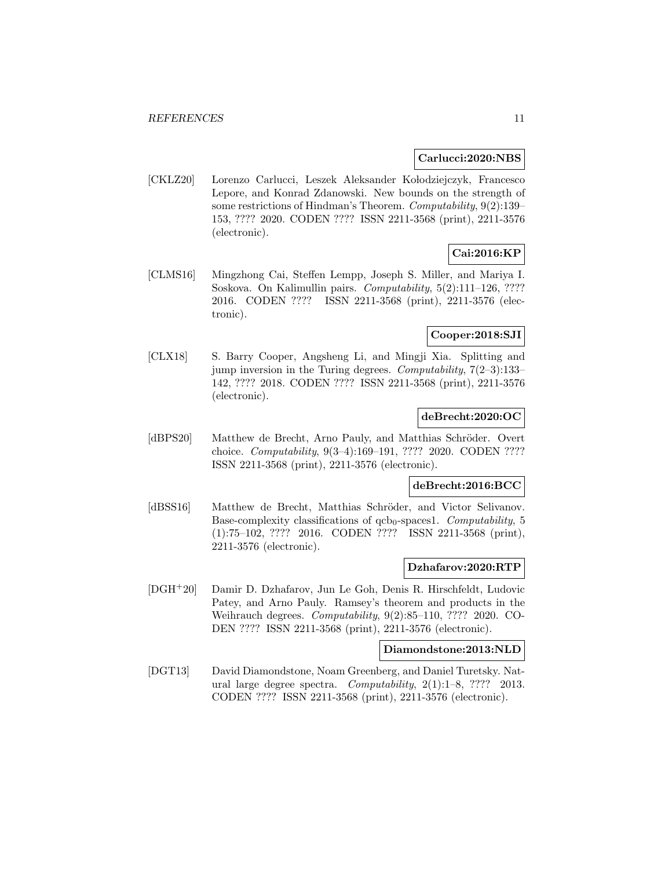#### **Carlucci:2020:NBS**

[CKLZ20] Lorenzo Carlucci, Leszek Aleksander Kołodziejczyk, Francesco Lepore, and Konrad Zdanowski. New bounds on the strength of some restrictions of Hindman's Theorem. Computability, 9(2):139– 153, ???? 2020. CODEN ???? ISSN 2211-3568 (print), 2211-3576 (electronic).

### **Cai:2016:KP**

[CLMS16] Mingzhong Cai, Steffen Lempp, Joseph S. Miller, and Mariya I. Soskova. On Kalimullin pairs. Computability, 5(2):111–126, ???? 2016. CODEN ???? ISSN 2211-3568 (print), 2211-3576 (electronic).

### **Cooper:2018:SJI**

[CLX18] S. Barry Cooper, Angsheng Li, and Mingji Xia. Splitting and jump inversion in the Turing degrees. Computability,  $7(2-3)$ :133– 142, ???? 2018. CODEN ???? ISSN 2211-3568 (print), 2211-3576 (electronic).

#### **deBrecht:2020:OC**

[dBPS20] Matthew de Brecht, Arno Pauly, and Matthias Schröder. Overt choice. Computability, 9(3–4):169–191, ???? 2020. CODEN ???? ISSN 2211-3568 (print), 2211-3576 (electronic).

#### **deBrecht:2016:BCC**

[dBSS16] Matthew de Brecht, Matthias Schröder, and Victor Selivanov. Base-complexity classifications of  $qcb_0$ -spaces1. Computability, 5 (1):75–102, ???? 2016. CODEN ???? ISSN 2211-3568 (print), 2211-3576 (electronic).

#### **Dzhafarov:2020:RTP**

[DGH<sup>+</sup>20] Damir D. Dzhafarov, Jun Le Goh, Denis R. Hirschfeldt, Ludovic Patey, and Arno Pauly. Ramsey's theorem and products in the Weihrauch degrees. Computability, 9(2):85–110, ???? 2020. CO-DEN ???? ISSN 2211-3568 (print), 2211-3576 (electronic).

#### **Diamondstone:2013:NLD**

[DGT13] David Diamondstone, Noam Greenberg, and Daniel Turetsky. Natural large degree spectra. Computability, 2(1):1–8, ???? 2013. CODEN ???? ISSN 2211-3568 (print), 2211-3576 (electronic).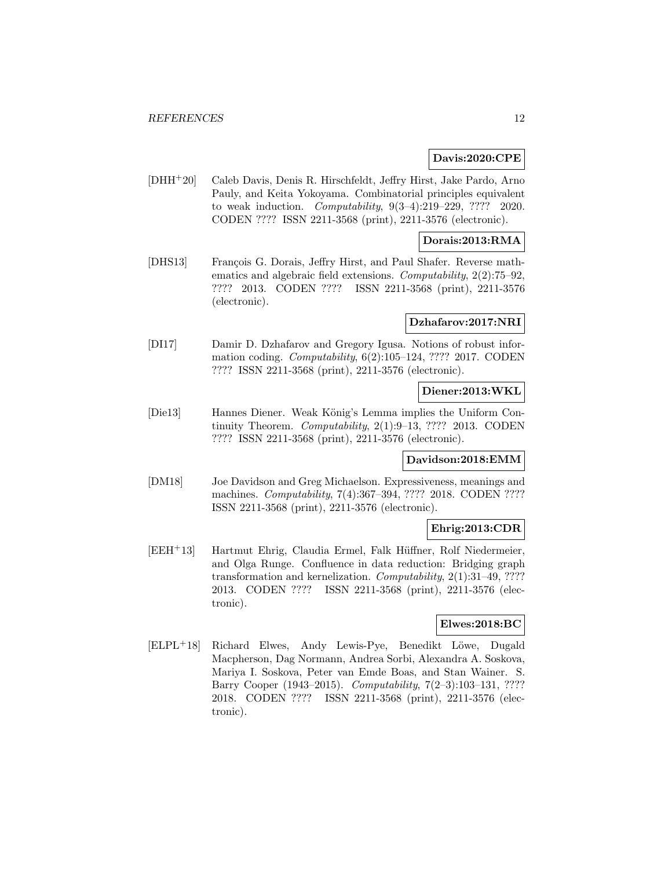#### **Davis:2020:CPE**

[DHH<sup>+</sup>20] Caleb Davis, Denis R. Hirschfeldt, Jeffry Hirst, Jake Pardo, Arno Pauly, and Keita Yokoyama. Combinatorial principles equivalent to weak induction. Computability, 9(3–4):219–229, ???? 2020. CODEN ???? ISSN 2211-3568 (print), 2211-3576 (electronic).

### **Dorais:2013:RMA**

[DHS13] François G. Dorais, Jeffry Hirst, and Paul Shafer. Reverse mathematics and algebraic field extensions. Computability, 2(2):75–92, ???? 2013. CODEN ???? ISSN 2211-3568 (print), 2211-3576 (electronic).

#### **Dzhafarov:2017:NRI**

[DI17] Damir D. Dzhafarov and Gregory Igusa. Notions of robust information coding. Computability, 6(2):105–124, ???? 2017. CODEN ???? ISSN 2211-3568 (print), 2211-3576 (electronic).

#### **Diener:2013:WKL**

[Die13] Hannes Diener. Weak König's Lemma implies the Uniform Continuity Theorem. Computability, 2(1):9–13, ???? 2013. CODEN ???? ISSN 2211-3568 (print), 2211-3576 (electronic).

#### **Davidson:2018:EMM**

[DM18] Joe Davidson and Greg Michaelson. Expressiveness, meanings and machines. Computability, 7(4):367–394, ???? 2018. CODEN ???? ISSN 2211-3568 (print), 2211-3576 (electronic).

#### **Ehrig:2013:CDR**

[EEH<sup>+</sup>13] Hartmut Ehrig, Claudia Ermel, Falk H¨uffner, Rolf Niedermeier, and Olga Runge. Confluence in data reduction: Bridging graph transformation and kernelization. Computability, 2(1):31–49, ???? 2013. CODEN ???? ISSN 2211-3568 (print), 2211-3576 (electronic).

#### **Elwes:2018:BC**

[ELPL+18] Richard Elwes, Andy Lewis-Pye, Benedikt Löwe, Dugald Macpherson, Dag Normann, Andrea Sorbi, Alexandra A. Soskova, Mariya I. Soskova, Peter van Emde Boas, and Stan Wainer. S. Barry Cooper (1943–2015). Computability, 7(2–3):103–131, ???? 2018. CODEN ???? ISSN 2211-3568 (print), 2211-3576 (electronic).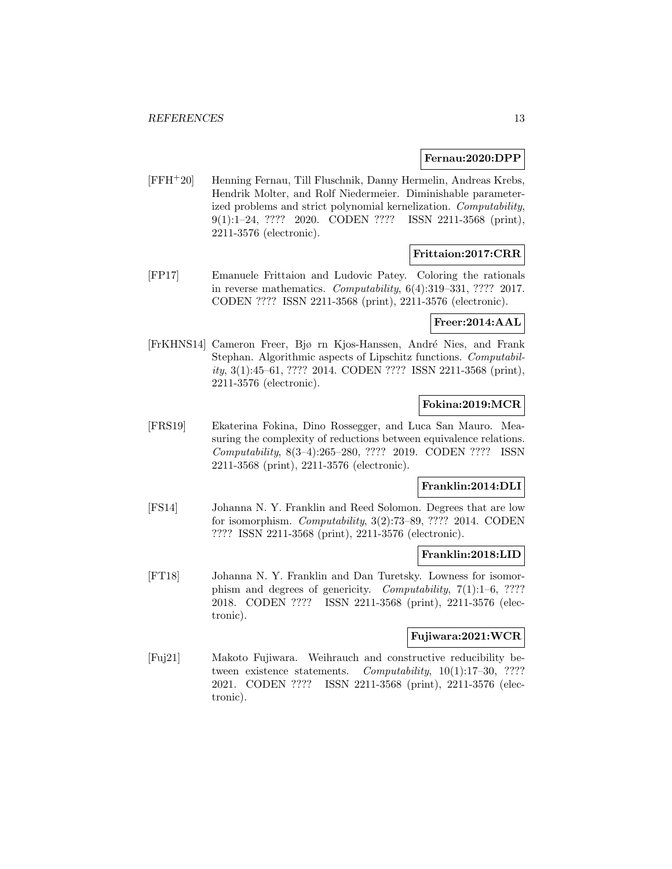#### **Fernau:2020:DPP**

[FFH<sup>+</sup>20] Henning Fernau, Till Fluschnik, Danny Hermelin, Andreas Krebs, Hendrik Molter, and Rolf Niedermeier. Diminishable parameterized problems and strict polynomial kernelization. Computability, 9(1):1–24, ???? 2020. CODEN ???? ISSN 2211-3568 (print), 2211-3576 (electronic).

### **Frittaion:2017:CRR**

[FP17] Emanuele Frittaion and Ludovic Patey. Coloring the rationals in reverse mathematics. Computability, 6(4):319–331, ???? 2017. CODEN ???? ISSN 2211-3568 (print), 2211-3576 (electronic).

### **Freer:2014:AAL**

[FrKHNS14] Cameron Freer, Bjø rn Kjos-Hanssen, André Nies, and Frank Stephan. Algorithmic aspects of Lipschitz functions. Computability, 3(1):45–61, ???? 2014. CODEN ???? ISSN 2211-3568 (print), 2211-3576 (electronic).

### **Fokina:2019:MCR**

[FRS19] Ekaterina Fokina, Dino Rossegger, and Luca San Mauro. Measuring the complexity of reductions between equivalence relations. Computability, 8(3–4):265–280, ???? 2019. CODEN ???? ISSN 2211-3568 (print), 2211-3576 (electronic).

#### **Franklin:2014:DLI**

[FS14] Johanna N. Y. Franklin and Reed Solomon. Degrees that are low for isomorphism. Computability, 3(2):73–89, ???? 2014. CODEN ???? ISSN 2211-3568 (print), 2211-3576 (electronic).

#### **Franklin:2018:LID**

[FT18] Johanna N. Y. Franklin and Dan Turetsky. Lowness for isomorphism and degrees of genericity. Computability, 7(1):1–6, ???? 2018. CODEN ???? ISSN 2211-3568 (print), 2211-3576 (electronic).

#### **Fujiwara:2021:WCR**

[Fuj21] Makoto Fujiwara. Weihrauch and constructive reducibility between existence statements. Computability, 10(1):17-30, ???? 2021. CODEN ???? ISSN 2211-3568 (print), 2211-3576 (electronic).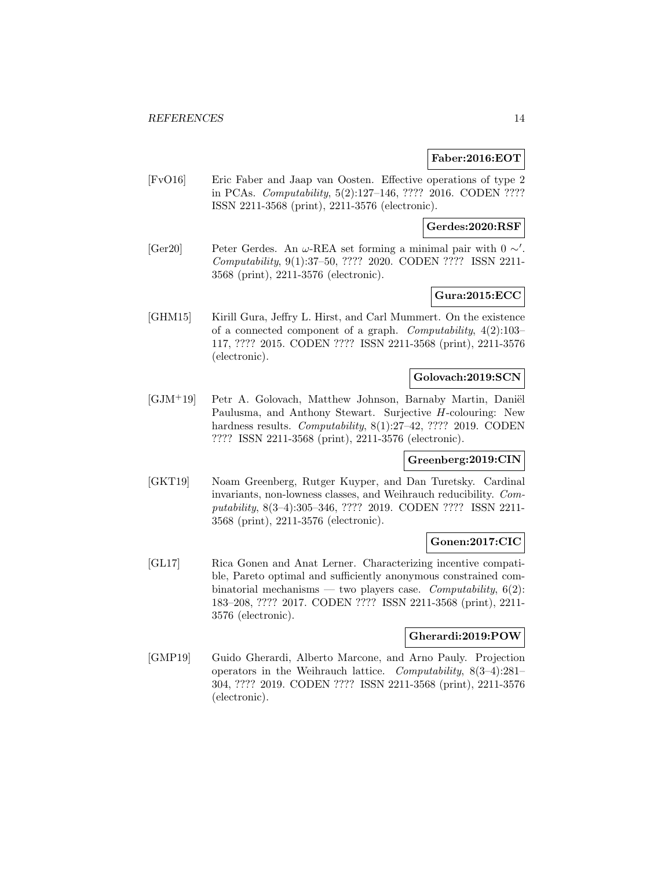### **Faber:2016:EOT**

[FvO16] Eric Faber and Jaap van Oosten. Effective operations of type 2 in PCAs. Computability, 5(2):127–146, ???? 2016. CODEN ???? ISSN 2211-3568 (print), 2211-3576 (electronic).

**Gerdes:2020:RSF**

[Ger20] Peter Gerdes. An  $\omega$ -REA set forming a minimal pair with  $0 \sim'$ . Computability, 9(1):37–50, ???? 2020. CODEN ???? ISSN 2211- 3568 (print), 2211-3576 (electronic).

### **Gura:2015:ECC**

[GHM15] Kirill Gura, Jeffry L. Hirst, and Carl Mummert. On the existence of a connected component of a graph. Computability, 4(2):103– 117, ???? 2015. CODEN ???? ISSN 2211-3568 (print), 2211-3576 (electronic).

#### **Golovach:2019:SCN**

 $[GJM^+19]$  Petr A. Golovach, Matthew Johnson, Barnaby Martin, Daniël Paulusma, and Anthony Stewart. Surjective H-colouring: New hardness results. Computability, 8(1):27-42, ???? 2019. CODEN ???? ISSN 2211-3568 (print), 2211-3576 (electronic).

#### **Greenberg:2019:CIN**

[GKT19] Noam Greenberg, Rutger Kuyper, and Dan Turetsky. Cardinal invariants, non-lowness classes, and Weihrauch reducibility. Computability, 8(3–4):305–346, ???? 2019. CODEN ???? ISSN 2211- 3568 (print), 2211-3576 (electronic).

### **Gonen:2017:CIC**

[GL17] Rica Gonen and Anat Lerner. Characterizing incentive compatible, Pareto optimal and sufficiently anonymous constrained combinatorial mechanisms — two players case. Computability,  $6(2)$ : 183–208, ???? 2017. CODEN ???? ISSN 2211-3568 (print), 2211- 3576 (electronic).

### **Gherardi:2019:POW**

[GMP19] Guido Gherardi, Alberto Marcone, and Arno Pauly. Projection operators in the Weihrauch lattice. Computability, 8(3–4):281– 304, ???? 2019. CODEN ???? ISSN 2211-3568 (print), 2211-3576 (electronic).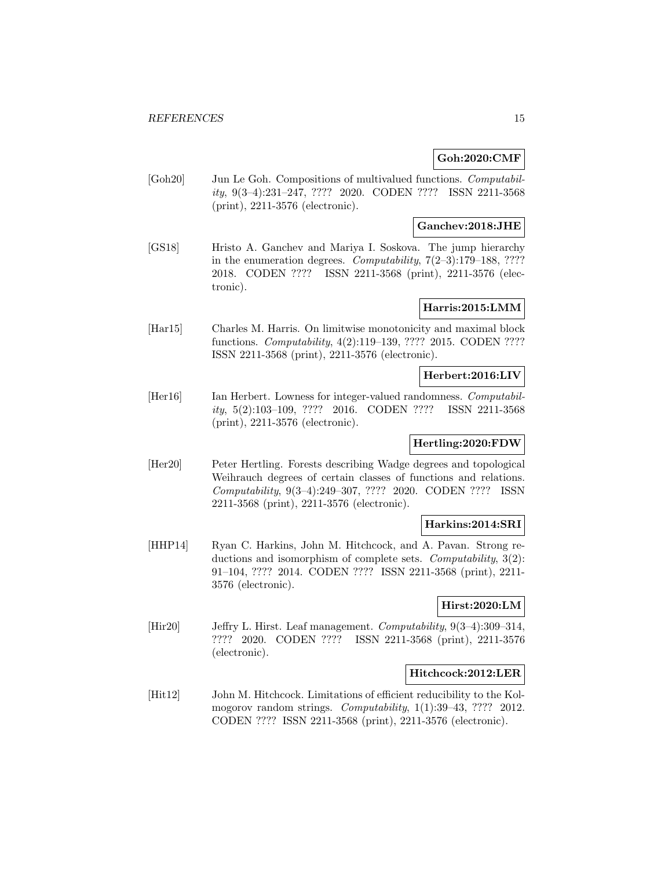#### **Goh:2020:CMF**

[Goh20] Jun Le Goh. Compositions of multivalued functions. Computability, 9(3–4):231–247, ???? 2020. CODEN ???? ISSN 2211-3568 (print), 2211-3576 (electronic).

#### **Ganchev:2018:JHE**

[GS18] Hristo A. Ganchev and Mariya I. Soskova. The jump hierarchy in the enumeration degrees. Computability,  $7(2-3)$ :179-188, ???? 2018. CODEN ???? ISSN 2211-3568 (print), 2211-3576 (electronic).

### **Harris:2015:LMM**

[Har15] Charles M. Harris. On limitwise monotonicity and maximal block functions. Computability, 4(2):119–139, ???? 2015. CODEN ???? ISSN 2211-3568 (print), 2211-3576 (electronic).

#### **Herbert:2016:LIV**

[Her16] Ian Herbert. Lowness for integer-valued randomness. *Computabil*ity, 5(2):103–109, ???? 2016. CODEN ???? ISSN 2211-3568 (print), 2211-3576 (electronic).

### **Hertling:2020:FDW**

[Her20] Peter Hertling. Forests describing Wadge degrees and topological Weihrauch degrees of certain classes of functions and relations. Computability, 9(3–4):249–307, ???? 2020. CODEN ???? ISSN 2211-3568 (print), 2211-3576 (electronic).

#### **Harkins:2014:SRI**

[HHP14] Ryan C. Harkins, John M. Hitchcock, and A. Pavan. Strong reductions and isomorphism of complete sets. Computability, 3(2): 91–104, ???? 2014. CODEN ???? ISSN 2211-3568 (print), 2211- 3576 (electronic).

#### **Hirst:2020:LM**

[Hir20] Jeffry L. Hirst. Leaf management. *Computability*, 9(3–4):309–314, ???? 2020. CODEN ???? ISSN 2211-3568 (print), 2211-3576 (electronic).

#### **Hitchcock:2012:LER**

[Hit12] John M. Hitchcock. Limitations of efficient reducibility to the Kolmogorov random strings. *Computability*,  $1(1):39-43, ???? 2012$ . CODEN ???? ISSN 2211-3568 (print), 2211-3576 (electronic).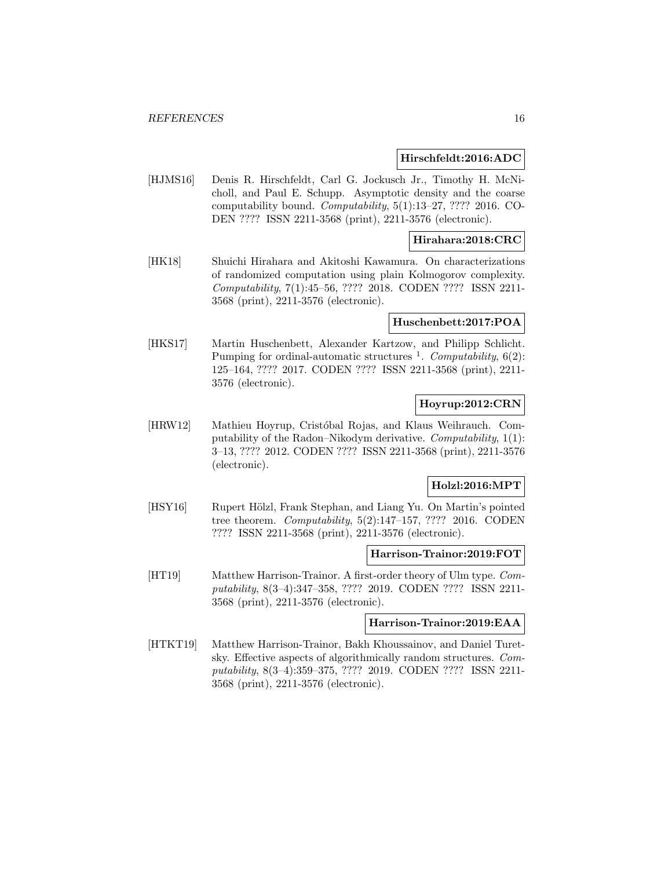#### **Hirschfeldt:2016:ADC**

[HJMS16] Denis R. Hirschfeldt, Carl G. Jockusch Jr., Timothy H. McNicholl, and Paul E. Schupp. Asymptotic density and the coarse computability bound. Computability, 5(1):13–27, ???? 2016. CO-DEN ???? ISSN 2211-3568 (print), 2211-3576 (electronic).

#### **Hirahara:2018:CRC**

[HK18] Shuichi Hirahara and Akitoshi Kawamura. On characterizations of randomized computation using plain Kolmogorov complexity. Computability, 7(1):45–56, ???? 2018. CODEN ???? ISSN 2211- 3568 (print), 2211-3576 (electronic).

#### **Huschenbett:2017:POA**

[HKS17] Martin Huschenbett, Alexander Kartzow, and Philipp Schlicht. Pumping for ordinal-automatic structures  $\frac{1}{1}$ . Computability, 6(2): 125–164, ???? 2017. CODEN ???? ISSN 2211-3568 (print), 2211- 3576 (electronic).

### **Hoyrup:2012:CRN**

[HRW12] Mathieu Hoyrup, Crist´obal Rojas, and Klaus Weihrauch. Computability of the Radon–Nikodym derivative. Computability, 1(1): 3–13, ???? 2012. CODEN ???? ISSN 2211-3568 (print), 2211-3576 (electronic).

#### **Holzl:2016:MPT**

[HSY16] Rupert Hölzl, Frank Stephan, and Liang Yu. On Martin's pointed tree theorem. Computability, 5(2):147–157, ???? 2016. CODEN ???? ISSN 2211-3568 (print), 2211-3576 (electronic).

#### **Harrison-Trainor:2019:FOT**

[HT19] Matthew Harrison-Trainor. A first-order theory of Ulm type. Computability, 8(3–4):347–358, ???? 2019. CODEN ???? ISSN 2211- 3568 (print), 2211-3576 (electronic).

#### **Harrison-Trainor:2019:EAA**

[HTKT19] Matthew Harrison-Trainor, Bakh Khoussainov, and Daniel Turetsky. Effective aspects of algorithmically random structures. Computability, 8(3–4):359–375, ???? 2019. CODEN ???? ISSN 2211- 3568 (print), 2211-3576 (electronic).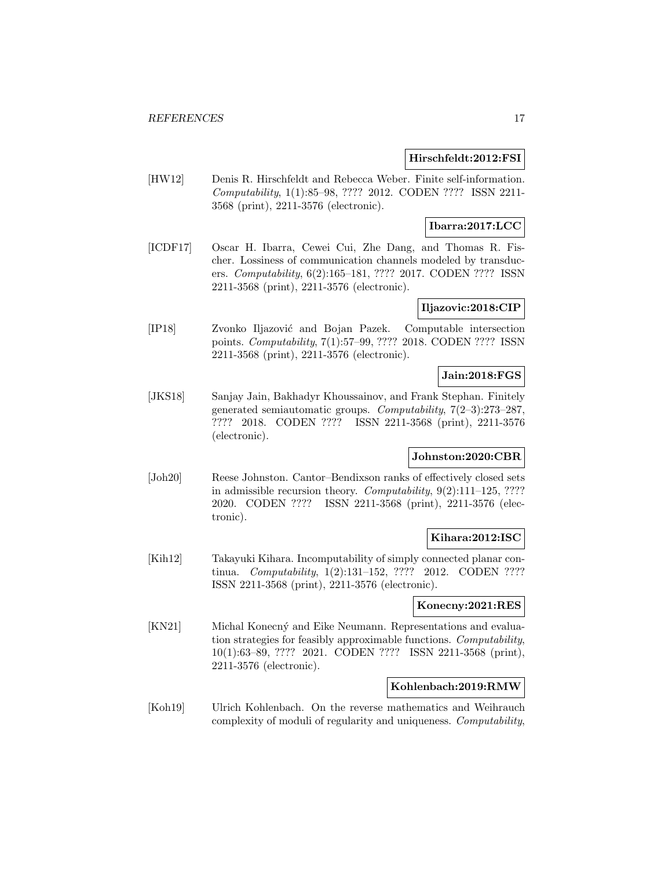#### **Hirschfeldt:2012:FSI**

[HW12] Denis R. Hirschfeldt and Rebecca Weber. Finite self-information. Computability, 1(1):85–98, ???? 2012. CODEN ???? ISSN 2211- 3568 (print), 2211-3576 (electronic).

### **Ibarra:2017:LCC**

[ICDF17] Oscar H. Ibarra, Cewei Cui, Zhe Dang, and Thomas R. Fischer. Lossiness of communication channels modeled by transducers. Computability, 6(2):165–181, ???? 2017. CODEN ???? ISSN 2211-3568 (print), 2211-3576 (electronic).

### **Iljazovic:2018:CIP**

[IP18] Zvonko Iljazović and Bojan Pazek. Computable intersection points. Computability, 7(1):57–99, ???? 2018. CODEN ???? ISSN 2211-3568 (print), 2211-3576 (electronic).

#### **Jain:2018:FGS**

[JKS18] Sanjay Jain, Bakhadyr Khoussainov, and Frank Stephan. Finitely generated semiautomatic groups. Computability, 7(2–3):273–287, ???? 2018. CODEN ???? ISSN 2211-3568 (print), 2211-3576 (electronic).

#### **Johnston:2020:CBR**

[Joh20] Reese Johnston. Cantor–Bendixson ranks of effectively closed sets in admissible recursion theory. Computability, 9(2):111–125, ???? 2020. CODEN ???? ISSN 2211-3568 (print), 2211-3576 (electronic).

#### **Kihara:2012:ISC**

[Kih12] Takayuki Kihara. Incomputability of simply connected planar continua. Computability, 1(2):131–152, ???? 2012. CODEN ???? ISSN 2211-3568 (print), 2211-3576 (electronic).

#### **Konecny:2021:RES**

[KN21] Michal Konecný and Eike Neumann. Representations and evaluation strategies for feasibly approximable functions. Computability, 10(1):63–89, ???? 2021. CODEN ???? ISSN 2211-3568 (print), 2211-3576 (electronic).

### **Kohlenbach:2019:RMW**

[Koh19] Ulrich Kohlenbach. On the reverse mathematics and Weihrauch complexity of moduli of regularity and uniqueness. Computability,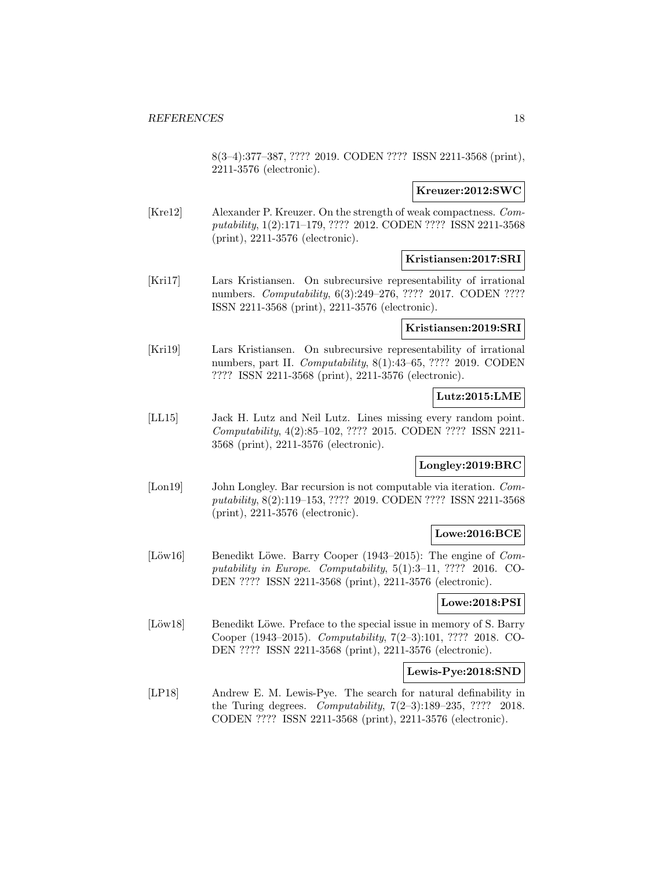8(3–4):377–387, ???? 2019. CODEN ???? ISSN 2211-3568 (print), 2211-3576 (electronic).

### **Kreuzer:2012:SWC**

[Kre12] Alexander P. Kreuzer. On the strength of weak compactness. Computability, 1(2):171–179, ???? 2012. CODEN ???? ISSN 2211-3568 (print), 2211-3576 (electronic).

### **Kristiansen:2017:SRI**

[Kri17] Lars Kristiansen. On subrecursive representability of irrational numbers. Computability, 6(3):249–276, ???? 2017. CODEN ???? ISSN 2211-3568 (print), 2211-3576 (electronic).

### **Kristiansen:2019:SRI**

[Kri19] Lars Kristiansen. On subrecursive representability of irrational numbers, part II. Computability, 8(1):43–65, ???? 2019. CODEN ???? ISSN 2211-3568 (print), 2211-3576 (electronic).

### **Lutz:2015:LME**

[LL15] Jack H. Lutz and Neil Lutz. Lines missing every random point. Computability, 4(2):85–102, ???? 2015. CODEN ???? ISSN 2211- 3568 (print), 2211-3576 (electronic).

### **Longley:2019:BRC**

[Lon19] John Longley. Bar recursion is not computable via iteration. Computability, 8(2):119–153, ???? 2019. CODEN ???? ISSN 2211-3568 (print), 2211-3576 (electronic).

### **Lowe:2016:BCE**

[Löw16] Benedikt Löwe. Barry Cooper (1943–2015): The engine of Computability in Europe. Computability, 5(1):3–11, ???? 2016. CO-DEN ???? ISSN 2211-3568 (print), 2211-3576 (electronic).

#### **Lowe:2018:PSI**

[Löw18] Benedikt Löwe. Preface to the special issue in memory of S. Barry Cooper (1943–2015). Computability, 7(2–3):101, ???? 2018. CO-DEN ???? ISSN 2211-3568 (print), 2211-3576 (electronic).

#### **Lewis-Pye:2018:SND**

[LP18] Andrew E. M. Lewis-Pye. The search for natural definability in the Turing degrees. Computability, 7(2–3):189–235, ???? 2018. CODEN ???? ISSN 2211-3568 (print), 2211-3576 (electronic).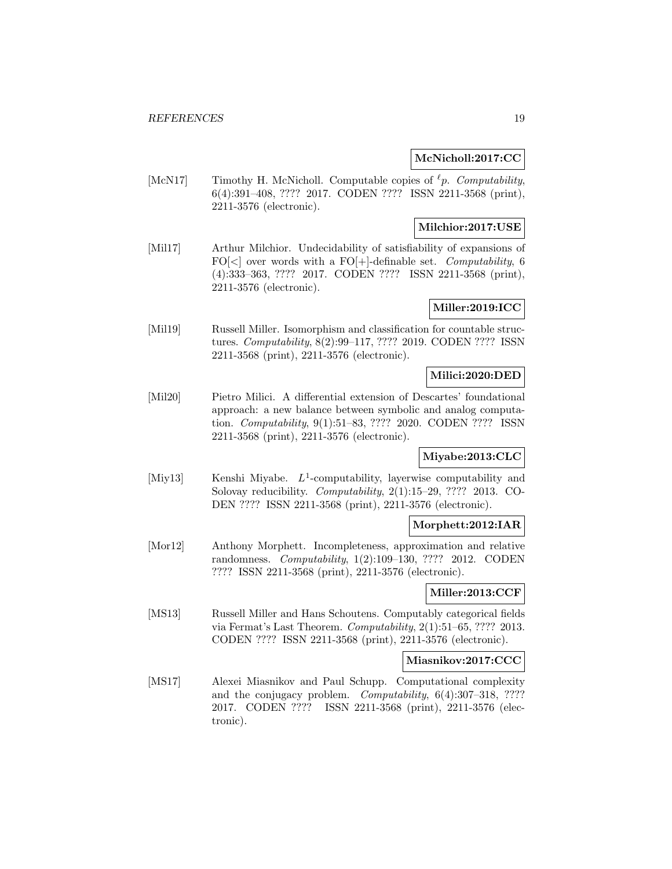### **McNicholl:2017:CC**

[McN17] Timothy H. McNicholl. Computable copies of  $\ell_p$ . Computability, 6(4):391–408, ???? 2017. CODEN ???? ISSN 2211-3568 (print), 2211-3576 (electronic).

### **Milchior:2017:USE**

[Mil17] Arthur Milchior. Undecidability of satisfiability of expansions of  $FO[<]$  over words with a FO $[+]$ -definable set. *Computability*, 6 (4):333–363, ???? 2017. CODEN ???? ISSN 2211-3568 (print), 2211-3576 (electronic).

### **Miller:2019:ICC**

[Mil19] Russell Miller. Isomorphism and classification for countable structures. Computability, 8(2):99–117, ???? 2019. CODEN ???? ISSN 2211-3568 (print), 2211-3576 (electronic).

#### **Milici:2020:DED**

[Mil20] Pietro Milici. A differential extension of Descartes' foundational approach: a new balance between symbolic and analog computation. Computability, 9(1):51–83, ???? 2020. CODEN ???? ISSN 2211-3568 (print), 2211-3576 (electronic).

#### **Miyabe:2013:CLC**

[Miy13] Kenshi Miyabe.  $L^1$ -computability, layerwise computability and Solovay reducibility. Computability, 2(1):15–29, ???? 2013. CO-DEN ???? ISSN 2211-3568 (print), 2211-3576 (electronic).

#### **Morphett:2012:IAR**

[Mor12] Anthony Morphett. Incompleteness, approximation and relative randomness. Computability, 1(2):109–130, ???? 2012. CODEN ???? ISSN 2211-3568 (print), 2211-3576 (electronic).

#### **Miller:2013:CCF**

[MS13] Russell Miller and Hans Schoutens. Computably categorical fields via Fermat's Last Theorem. Computability, 2(1):51–65, ???? 2013. CODEN ???? ISSN 2211-3568 (print), 2211-3576 (electronic).

#### **Miasnikov:2017:CCC**

[MS17] Alexei Miasnikov and Paul Schupp. Computational complexity and the conjugacy problem. Computability, 6(4):307–318, ???? 2017. CODEN ???? ISSN 2211-3568 (print), 2211-3576 (electronic).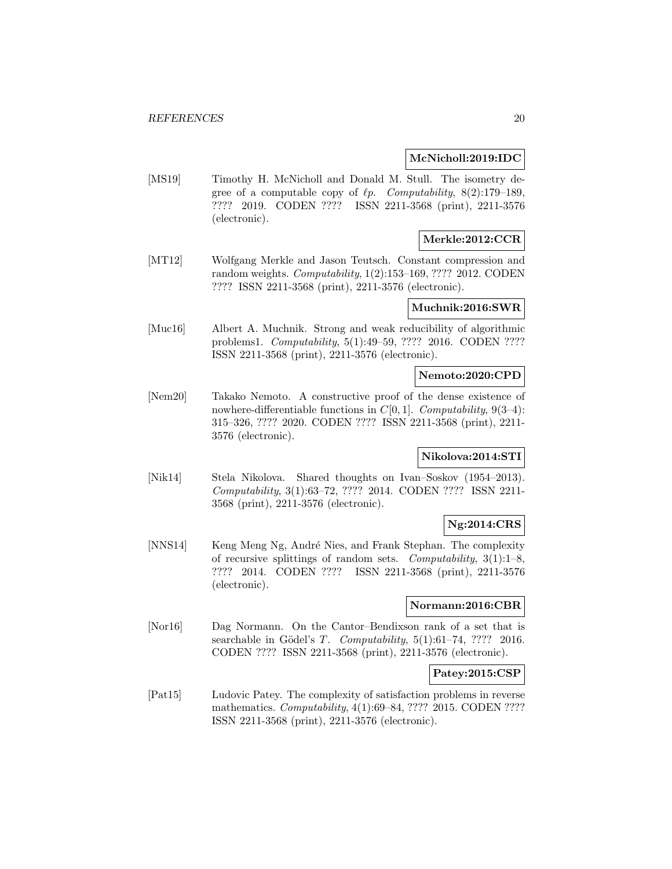#### **McNicholl:2019:IDC**

[MS19] Timothy H. McNicholl and Donald M. Stull. The isometry degree of a computable copy of  $\ell p$ . Computability, 8(2):179–189, ???? 2019. CODEN ???? ISSN 2211-3568 (print), 2211-3576 (electronic).

### **Merkle:2012:CCR**

[MT12] Wolfgang Merkle and Jason Teutsch. Constant compression and random weights. Computability, 1(2):153–169, ???? 2012. CODEN ???? ISSN 2211-3568 (print), 2211-3576 (electronic).

### **Muchnik:2016:SWR**

[Muc16] Albert A. Muchnik. Strong and weak reducibility of algorithmic problems1. Computability, 5(1):49–59, ???? 2016. CODEN ???? ISSN 2211-3568 (print), 2211-3576 (electronic).

#### **Nemoto:2020:CPD**

[Nem20] Takako Nemoto. A constructive proof of the dense existence of nowhere-differentiable functions in  $C[0, 1]$ . Computability, 9(3-4): 315–326, ???? 2020. CODEN ???? ISSN 2211-3568 (print), 2211- 3576 (electronic).

#### **Nikolova:2014:STI**

[Nik14] Stela Nikolova. Shared thoughts on Ivan–Soskov (1954–2013). Computability, 3(1):63–72, ???? 2014. CODEN ???? ISSN 2211- 3568 (print), 2211-3576 (electronic).

### **Ng:2014:CRS**

[NNS14] Keng Meng Ng, André Nies, and Frank Stephan. The complexity of recursive splittings of random sets. Computability,  $3(1):1-8$ , ???? 2014. CODEN ???? ISSN 2211-3568 (print), 2211-3576 (electronic).

### **Normann:2016:CBR**

[Nor16] Dag Normann. On the Cantor–Bendixson rank of a set that is searchable in Gödel's T. Computability,  $5(1):61-74$ , ???? 2016. CODEN ???? ISSN 2211-3568 (print), 2211-3576 (electronic).

### **Patey:2015:CSP**

[Pat15] Ludovic Patey. The complexity of satisfaction problems in reverse mathematics. Computability, 4(1):69–84, ???? 2015. CODEN ???? ISSN 2211-3568 (print), 2211-3576 (electronic).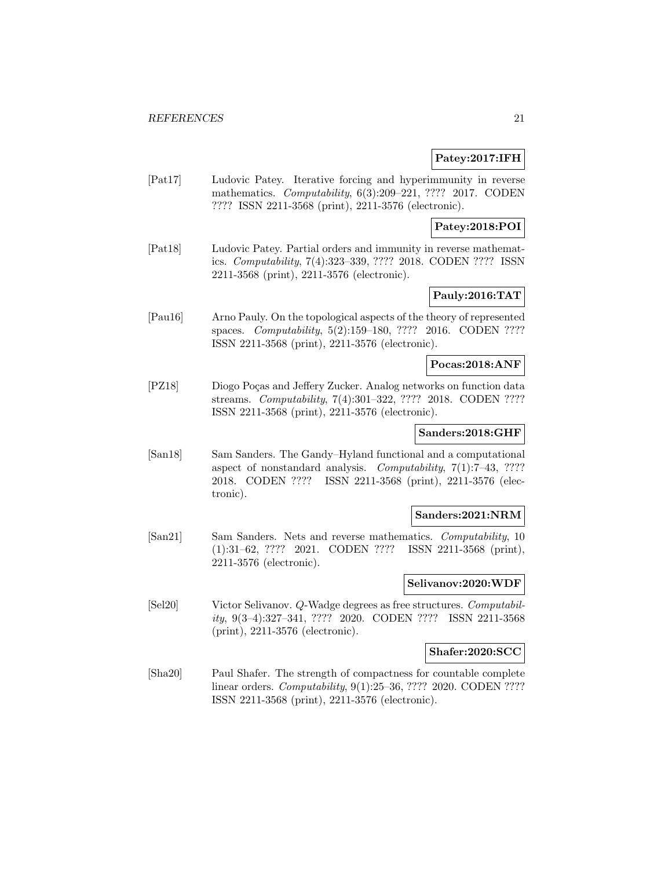### **Patey:2017:IFH**

[Pat17] Ludovic Patey. Iterative forcing and hyperimmunity in reverse mathematics. Computability, 6(3):209–221, ???? 2017. CODEN ???? ISSN 2211-3568 (print), 2211-3576 (electronic).

**Patey:2018:POI**

[Pat18] Ludovic Patey. Partial orders and immunity in reverse mathematics. Computability, 7(4):323–339, ???? 2018. CODEN ???? ISSN 2211-3568 (print), 2211-3576 (electronic).

### **Pauly:2016:TAT**

[Pau16] Arno Pauly. On the topological aspects of the theory of represented spaces. *Computability*, 5(2):159-180, ???? 2016. CODEN ???? ISSN 2211-3568 (print), 2211-3576 (electronic).

#### **Pocas:2018:ANF**

[PZ18] Diogo Poças and Jeffery Zucker. Analog networks on function data streams. Computability, 7(4):301–322, ???? 2018. CODEN ???? ISSN 2211-3568 (print), 2211-3576 (electronic).

### **Sanders:2018:GHF**

[San18] Sam Sanders. The Gandy–Hyland functional and a computational aspect of nonstandard analysis. Computability, 7(1):7–43, ???? 2018. CODEN ???? ISSN 2211-3568 (print), 2211-3576 (electronic).

#### **Sanders:2021:NRM**

[San21] Sam Sanders. Nets and reverse mathematics. Computability, 10 (1):31–62, ???? 2021. CODEN ???? ISSN 2211-3568 (print), 2211-3576 (electronic).

#### **Selivanov:2020:WDF**

[Sel20] Victor Selivanov. Q-Wadge degrees as free structures. Computability, 9(3–4):327–341, ???? 2020. CODEN ???? ISSN 2211-3568 (print), 2211-3576 (electronic).

### **Shafer:2020:SCC**

[Sha20] Paul Shafer. The strength of compactness for countable complete linear orders. Computability, 9(1):25–36, ???? 2020. CODEN ???? ISSN 2211-3568 (print), 2211-3576 (electronic).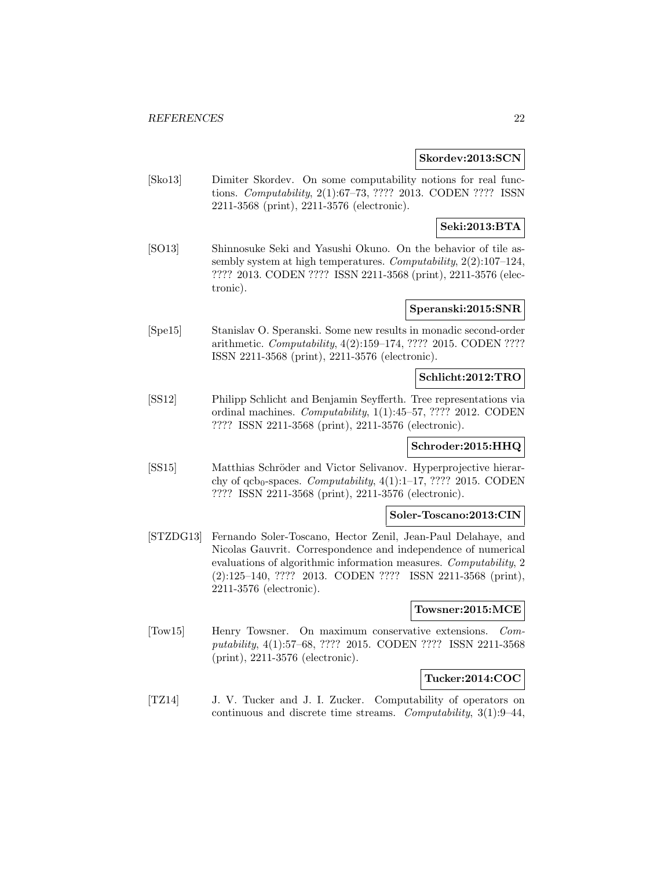#### **Skordev:2013:SCN**

[Sko13] Dimiter Skordev. On some computability notions for real functions. Computability, 2(1):67–73, ???? 2013. CODEN ???? ISSN 2211-3568 (print), 2211-3576 (electronic).

### **Seki:2013:BTA**

[SO13] Shinnosuke Seki and Yasushi Okuno. On the behavior of tile assembly system at high temperatures. Computability, 2(2):107–124, ???? 2013. CODEN ???? ISSN 2211-3568 (print), 2211-3576 (electronic).

#### **Speranski:2015:SNR**

[Spe15] Stanislav O. Speranski. Some new results in monadic second-order arithmetic. Computability, 4(2):159–174, ???? 2015. CODEN ???? ISSN 2211-3568 (print), 2211-3576 (electronic).

### **Schlicht:2012:TRO**

[SS12] Philipp Schlicht and Benjamin Seyfferth. Tree representations via ordinal machines. Computability, 1(1):45–57, ???? 2012. CODEN ???? ISSN 2211-3568 (print), 2211-3576 (electronic).

### **Schroder:2015:HHQ**

[SS15] Matthias Schröder and Victor Selivanov. Hyperprojective hierarchy of qcb<sub>0</sub>-spaces. *Computability*,  $4(1):1-17, ???? 2015$ . CODEN ???? ISSN 2211-3568 (print), 2211-3576 (electronic).

#### **Soler-Toscano:2013:CIN**

[STZDG13] Fernando Soler-Toscano, Hector Zenil, Jean-Paul Delahaye, and Nicolas Gauvrit. Correspondence and independence of numerical evaluations of algorithmic information measures. Computability, 2 (2):125–140, ???? 2013. CODEN ???? ISSN 2211-3568 (print), 2211-3576 (electronic).

#### **Towsner:2015:MCE**

[Tow15] Henry Towsner. On maximum conservative extensions. Computability, 4(1):57–68, ???? 2015. CODEN ???? ISSN 2211-3568 (print), 2211-3576 (electronic).

#### **Tucker:2014:COC**

[TZ14] J. V. Tucker and J. I. Zucker. Computability of operators on continuous and discrete time streams. Computability, 3(1):9–44,